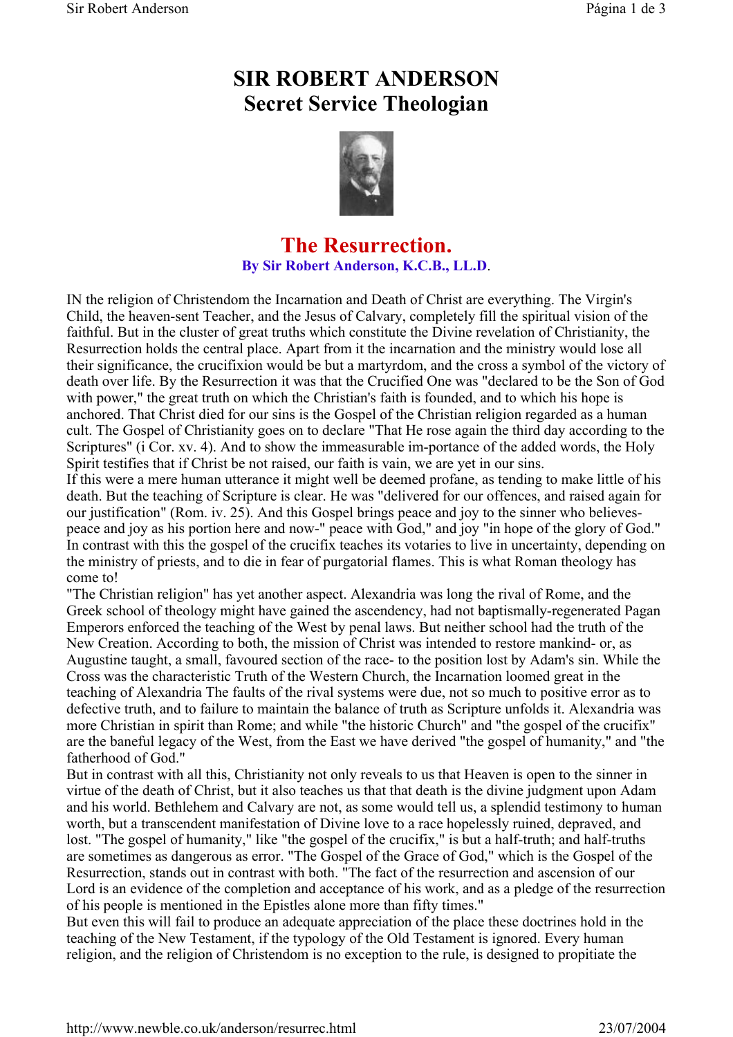## **SIR ROBERT ANDERSON Secret Service Theologian**



## **The Resurrection. By Sir Robert Anderson, K.C.B., LL.D**.

IN the religion of Christendom the Incarnation and Death of Christ are everything. The Virgin's Child, the heaven-sent Teacher, and the Jesus of Calvary, completely fill the spiritual vision of the faithful. But in the cluster of great truths which constitute the Divine revelation of Christianity, the Resurrection holds the central place. Apart from it the incarnation and the ministry would lose all their significance, the crucifixion would be but a martyrdom, and the cross a symbol of the victory of death over life. By the Resurrection it was that the Crucified One was "declared to be the Son of God with power," the great truth on which the Christian's faith is founded, and to which his hope is anchored. That Christ died for our sins is the Gospel of the Christian religion regarded as a human cult. The Gospel of Christianity goes on to declare "That He rose again the third day according to the Scriptures" (i Cor. xv. 4). And to show the immeasurable im-portance of the added words, the Holy Spirit testifies that if Christ be not raised, our faith is vain, we are yet in our sins.

If this were a mere human utterance it might well be deemed profane, as tending to make little of his death. But the teaching of Scripture is clear. He was "delivered for our offences, and raised again for our justification" (Rom. iv. 25). And this Gospel brings peace and joy to the sinner who believespeace and joy as his portion here and now-" peace with God," and joy "in hope of the glory of God." In contrast with this the gospel of the crucifix teaches its votaries to live in uncertainty, depending on the ministry of priests, and to die in fear of purgatorial flames. This is what Roman theology has come to!

"The Christian religion" has yet another aspect. Alexandria was long the rival of Rome, and the Greek school of theology might have gained the ascendency, had not baptismally-regenerated Pagan Emperors enforced the teaching of the West by penal laws. But neither school had the truth of the New Creation. According to both, the mission of Christ was intended to restore mankind- or, as Augustine taught, a small, favoured section of the race- to the position lost by Adam's sin. While the Cross was the characteristic Truth of the Western Church, the Incarnation loomed great in the teaching of Alexandria The faults of the rival systems were due, not so much to positive error as to defective truth, and to failure to maintain the balance of truth as Scripture unfolds it. Alexandria was more Christian in spirit than Rome; and while "the historic Church" and "the gospel of the crucifix" are the baneful legacy of the West, from the East we have derived "the gospel of humanity," and "the fatherhood of God."

But in contrast with all this, Christianity not only reveals to us that Heaven is open to the sinner in virtue of the death of Christ, but it also teaches us that that death is the divine judgment upon Adam and his world. Bethlehem and Calvary are not, as some would tell us, a splendid testimony to human worth, but a transcendent manifestation of Divine love to a race hopelessly ruined, depraved, and lost. "The gospel of humanity," like "the gospel of the crucifix," is but a half-truth; and half-truths are sometimes as dangerous as error. "The Gospel of the Grace of God," which is the Gospel of the Resurrection, stands out in contrast with both. "The fact of the resurrection and ascension of our Lord is an evidence of the completion and acceptance of his work, and as a pledge of the resurrection of his people is mentioned in the Epistles alone more than fifty times."

But even this will fail to produce an adequate appreciation of the place these doctrines hold in the teaching of the New Testament, if the typology of the Old Testament is ignored. Every human religion, and the religion of Christendom is no exception to the rule, is designed to propitiate the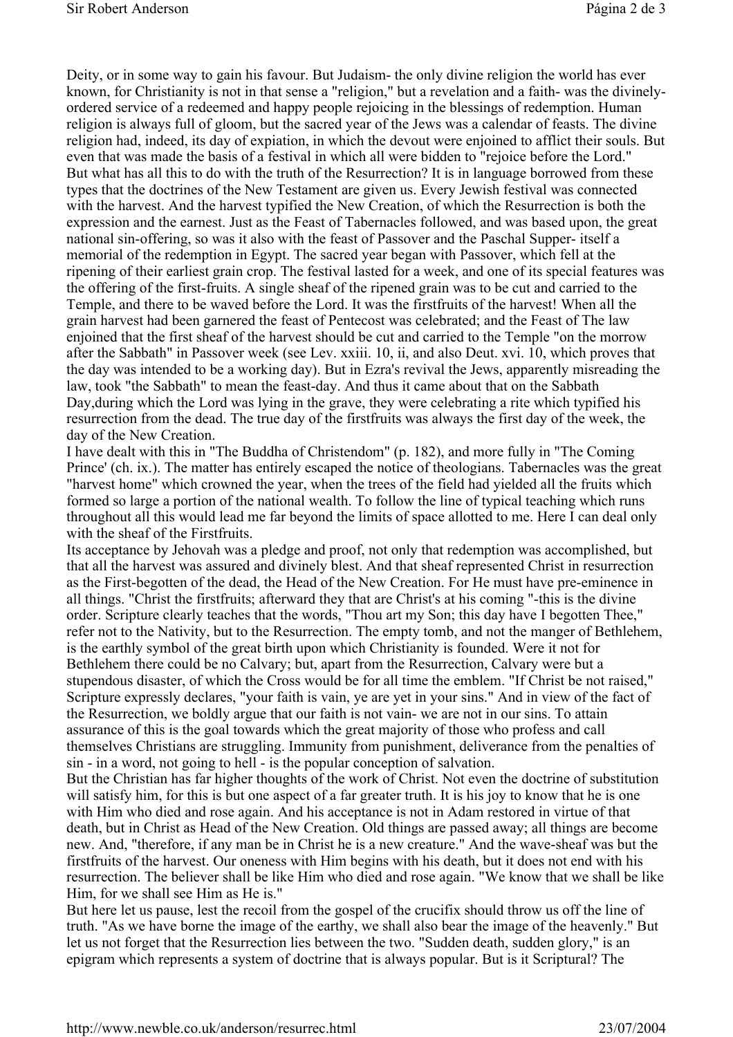Deity, or in some way to gain his favour. But Judaism- the only divine religion the world has ever known, for Christianity is not in that sense a "religion," but a revelation and a faith- was the divinelyordered service of a redeemed and happy people rejoicing in the blessings of redemption. Human religion is always full of gloom, but the sacred year of the Jews was a calendar of feasts. The divine religion had, indeed, its day of expiation, in which the devout were enjoined to afflict their souls. But even that was made the basis of a festival in which all were bidden to "rejoice before the Lord." But what has all this to do with the truth of the Resurrection? It is in language borrowed from these types that the doctrines of the New Testament are given us. Every Jewish festival was connected with the harvest. And the harvest typified the New Creation, of which the Resurrection is both the expression and the earnest. Just as the Feast of Tabernacles followed, and was based upon, the great national sin-offering, so was it also with the feast of Passover and the Paschal Supper- itself a memorial of the redemption in Egypt. The sacred year began with Passover, which fell at the ripening of their earliest grain crop. The festival lasted for a week, and one of its special features was the offering of the first-fruits. A single sheaf of the ripened grain was to be cut and carried to the Temple, and there to be waved before the Lord. It was the firstfruits of the harvest! When all the grain harvest had been garnered the feast of Pentecost was celebrated; and the Feast of The law enjoined that the first sheaf of the harvest should be cut and carried to the Temple "on the morrow after the Sabbath" in Passover week (see Lev. xxiii. 10, ii, and also Deut. xvi. 10, which proves that the day was intended to be a working day). But in Ezra's revival the Jews, apparently misreading the law, took "the Sabbath" to mean the feast-day. And thus it came about that on the Sabbath Day,during which the Lord was lying in the grave, they were celebrating a rite which typified his resurrection from the dead. The true day of the firstfruits was always the first day of the week, the day of the New Creation.

I have dealt with this in "The Buddha of Christendom" (p. 182), and more fully in "The Coming Prince' (ch. ix.). The matter has entirely escaped the notice of theologians. Tabernacles was the great "harvest home" which crowned the year, when the trees of the field had yielded all the fruits which formed so large a portion of the national wealth. To follow the line of typical teaching which runs throughout all this would lead me far beyond the limits of space allotted to me. Here I can deal only with the sheaf of the Firstfruits.

Its acceptance by Jehovah was a pledge and proof, not only that redemption was accomplished, but that all the harvest was assured and divinely blest. And that sheaf represented Christ in resurrection as the First-begotten of the dead, the Head of the New Creation. For He must have pre-eminence in all things. "Christ the firstfruits; afterward they that are Christ's at his coming "-this is the divine order. Scripture clearly teaches that the words, "Thou art my Son; this day have I begotten Thee," refer not to the Nativity, but to the Resurrection. The empty tomb, and not the manger of Bethlehem, is the earthly symbol of the great birth upon which Christianity is founded. Were it not for Bethlehem there could be no Calvary; but, apart from the Resurrection, Calvary were but a stupendous disaster, of which the Cross would be for all time the emblem. "If Christ be not raised," Scripture expressly declares, "your faith is vain, ye are yet in your sins." And in view of the fact of the Resurrection, we boldly argue that our faith is not vain- we are not in our sins. To attain assurance of this is the goal towards which the great majority of those who profess and call themselves Christians are struggling. Immunity from punishment, deliverance from the penalties of sin - in a word, not going to hell - is the popular conception of salvation.

But the Christian has far higher thoughts of the work of Christ. Not even the doctrine of substitution will satisfy him, for this is but one aspect of a far greater truth. It is his joy to know that he is one with Him who died and rose again. And his acceptance is not in Adam restored in virtue of that death, but in Christ as Head of the New Creation. Old things are passed away; all things are become new. And, "therefore, if any man be in Christ he is a new creature." And the wave-sheaf was but the firstfruits of the harvest. Our oneness with Him begins with his death, but it does not end with his resurrection. The believer shall be like Him who died and rose again. "We know that we shall be like Him, for we shall see Him as He is."

But here let us pause, lest the recoil from the gospel of the crucifix should throw us off the line of truth. "As we have borne the image of the earthy, we shall also bear the image of the heavenly." But let us not forget that the Resurrection lies between the two. "Sudden death, sudden glory," is an epigram which represents a system of doctrine that is always popular. But is it Scriptural? The